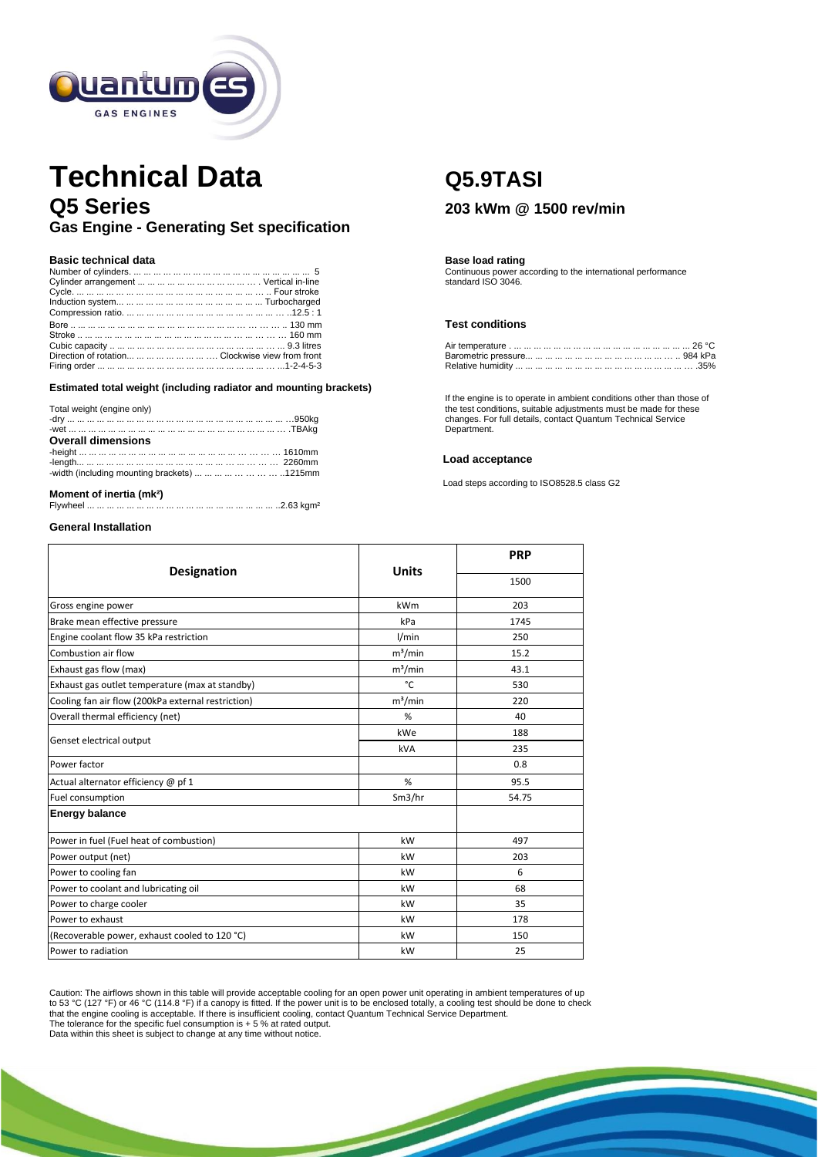

# **Technical Data Q5.9TASI Q5 Series <sup>203</sup> kWm @ 1500 rev/min Gas Engine - Generating Set specification**

## **Basic technical data Basic technical data Basic technical data Basic technical data Basic technical** data

|                                                        | Continuous power according to the international performance |
|--------------------------------------------------------|-------------------------------------------------------------|
|                                                        | standard ISO 3046.                                          |
|                                                        |                                                             |
|                                                        |                                                             |
|                                                        |                                                             |
|                                                        | <b>Test conditions</b>                                      |
|                                                        |                                                             |
|                                                        |                                                             |
| Direction of rotation        Clockwise view from front |                                                             |
|                                                        |                                                             |

**Estimated total weight (including radiator and mounting brackets)**

| -width (including mounting brackets)         1215mm |
|-----------------------------------------------------|
|                                                     |

# **Moment of inertia (mk<sup>2</sup>)**<br>Flywheel ... ... ... ... ... ... ...

Flywheel ... ... ... ... ... ... ... ... ... ... ... ... ... ... ... ... ... ... ... ..2.63 kgm²

### **General Installation**

### **Test conditions**

If the engine is to operate in ambient conditions other than those of<br>Total weight (engine only) the test conditions, suitable adjustments must be made for these changes. For full details, contact Quantum Technical Service Department.

## **Load acceptance**

Load steps according to ISO8528.5 class G2

|                                                    | <b>Units</b> | <b>PRP</b> |  |
|----------------------------------------------------|--------------|------------|--|
| <b>Designation</b>                                 |              | 1500       |  |
| Gross engine power                                 | kWm          | 203        |  |
| Brake mean effective pressure                      | kPa          | 1745       |  |
| Engine coolant flow 35 kPa restriction             | 1/min        | 250        |  |
| Combustion air flow                                | $m^3/m$ in   | 15.2       |  |
| Exhaust gas flow (max)                             | $m^3/m$ in   | 43.1       |  |
| Exhaust gas outlet temperature (max at standby)    | °C           | 530        |  |
| Cooling fan air flow (200kPa external restriction) | $m^3/m$ in   | 220        |  |
| Overall thermal efficiency (net)                   | %            | 40         |  |
| Genset electrical output                           | kWe          | 188        |  |
|                                                    | kVA          | 235        |  |
| Power factor                                       |              | 0.8        |  |
| Actual alternator efficiency @ pf 1                | %            | 95.5       |  |
| Fuel consumption                                   | Sm3/hr       | 54.75      |  |
| <b>Energy balance</b>                              |              |            |  |
| Power in fuel (Fuel heat of combustion)            | kW           | 497        |  |
| Power output (net)                                 | kW           | 203        |  |
| Power to cooling fan                               | kW           | 6          |  |
| Power to coolant and lubricating oil               | kW           | 68         |  |
| Power to charge cooler                             | kW           | 35         |  |
| Power to exhaust                                   | kW           | 178        |  |
| (Recoverable power, exhaust cooled to 120 °C)      | kW           | 150        |  |
| Power to radiation                                 | kW           | 25         |  |

Caution: The airflows shown in this table will provide acceptable cooling for an open power unit operating in ambient temperatures of up<br>to 53 °C (127 °F) or 46 °C (114.8 °F) if a canopy is fitted. If the power unit is to that the engine cooling is acceptable. If there is insufficient cooling, contact Quantum Technical Service Department.

The tolerance for the specific fuel consumption is + 5 % at rated output. Data within this sheet is subject to change at any time without notice.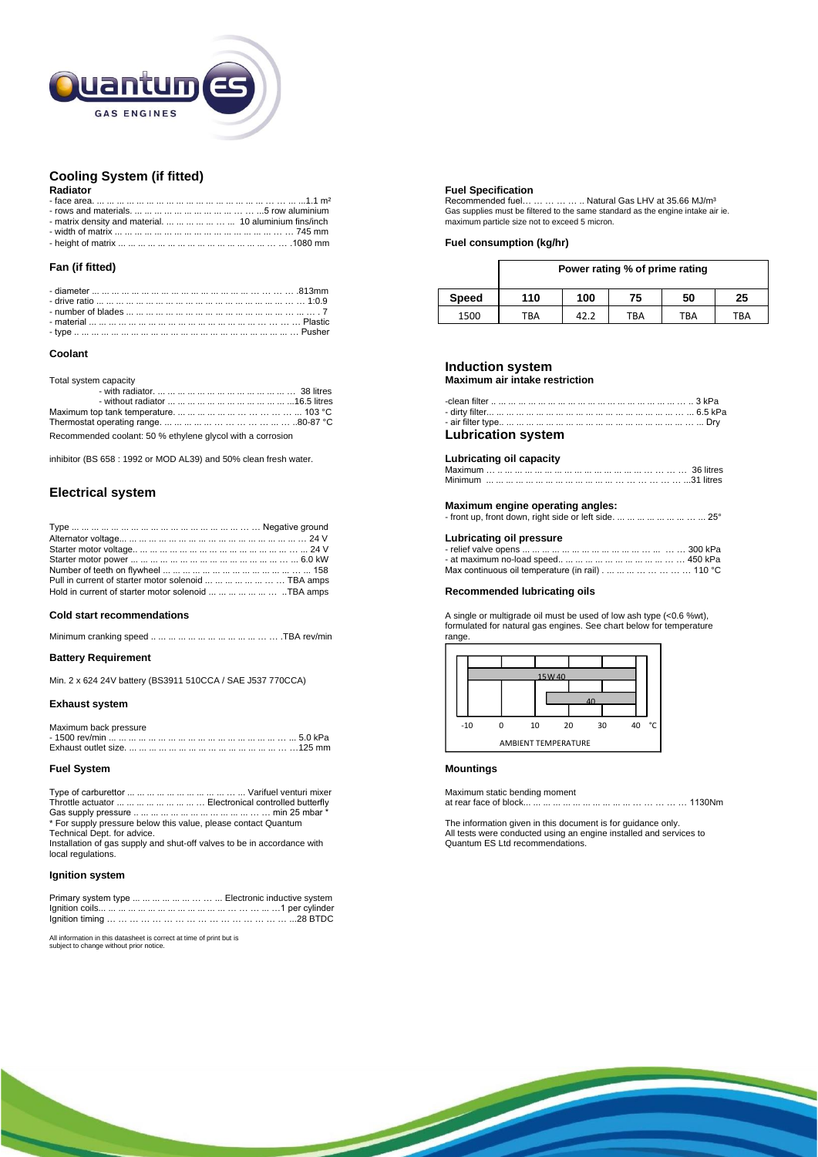

# **Cooling System (if fitted)**

|                                                                                                             | Recommended fuel                    |
|-------------------------------------------------------------------------------------------------------------|-------------------------------------|
| - rows and materials. $\dots \dots \dots \dots \dots \dots \dots \dots \dots \dots \dots$ . 5 row aluminium | Gas supplies must be filtered to th |
| - matrix density and material.        10 aluminium fins/inch                                                | maximum particle size not to exce   |
|                                                                                                             |                                     |
|                                                                                                             | <b>Fuel consumption (kg/hr)</b>     |

## **Fan (if fitted)**

### **Coolant**

| Recommended coolant: 50 % ethylene glycol with a corrosion | <b>Lubrication system</b> |
|------------------------------------------------------------|---------------------------|

inhibitor (BS 658 : 1992 or MOD AL39) and 50% clean fresh water. **Labricating oil capacity** 

# **Electrical system**

|                                                           | Lubricating oil pressure                                                                                  |
|-----------------------------------------------------------|-----------------------------------------------------------------------------------------------------------|
|                                                           |                                                                                                           |
|                                                           |                                                                                                           |
|                                                           | Max continuous oil temperature (in rail) $\ldots \ldots \ldots \ldots \ldots \ldots \ldots \ldots 110$ °C |
| Pull in current of starter motor solenoid        TBA amps |                                                                                                           |
| Hold in current of starter motor solenoid        TBA amps | Recommended lubricating oils                                                                              |

|  |  |  | range. |
|--|--|--|--------|
|--|--|--|--------|

### **Battery Requirement**

Min. 2 x 624 24V battery (BS3911 510CCA / SAE J537 770CCA)

### **Exhaust system**

| Maximum back pressure |  |
|-----------------------|--|
|                       |  |
|                       |  |

### **Fuel System Mountings**

| Throttle actuator         Electronical controlled butterfly    |  |
|----------------------------------------------------------------|--|
|                                                                |  |
| * For supply pressure below this value, please contact Quantum |  |
| Technical Dept for advice                                      |  |

Installation of gas supply and shut-off valves to be in accordance with local regulations.

### **Ignition system**

| Primary system type         Electronic inductive system |  |
|---------------------------------------------------------|--|
|                                                         |  |
|                                                         |  |

All information in this datasheet is correct at time of print but is subject to change without prior notice.

### **Fuel Specification**

- face area. ... ... ... ... ... ... ... ... ... ... ... ... ... ... ... ... ... … … ... ...1.1 m² Recommended fuel… … … … … .. Natural Gas LHV at 35.66 MJ/m³ - rows and materials. ... ... ... ... ... ... ... ... ... ... … … ...5 row aluminium Gas supplies must be filtered to the same standard as the engine intake air ie. maximum particle size not to exceed 5 micron.

|              | Power rating % of prime rating |      |     |     |     |  |  |  |  |  |  |
|--------------|--------------------------------|------|-----|-----|-----|--|--|--|--|--|--|
| <b>Speed</b> | 110                            | 100  | 75  | 50  | 25  |  |  |  |  |  |  |
| 1500         | TBA                            | 42.2 | TBA | TBA | TBA |  |  |  |  |  |  |

# **Induction system**

Total system capacity **Maximum air intake restriction**

| is described to <b>move of collections</b> with a state of the control of the collection | Lubrication cyctom |  |
|------------------------------------------------------------------------------------------|--------------------|--|

## **Maximum engine operating angles:**

| - front up, front down, right side or left side.         25° |  |
|--------------------------------------------------------------|--|
|                                                              |  |

## Lubricating oil pressure

| Max continuous oil temperature (in rail)        110 °C |  |
|--------------------------------------------------------|--|

# **Recommended lubricating oils**

**Cold start recommendations Cold start recommendations** A single or multigrade oil must be used of low ash type (<0.6 %wt), formulated for natural gas engines. See chart below for temperature



Maximum static bending moment Throttle actuator ... ... ... ... ... ... ... ... … Electronical controlled butterfly at rear face of block... ... ... ... ... ... ... ... ... ... ... … … … … … 1130Nm

\* For supply pressure below this value, please contact Quantum The information given in this document is for guidance only. Technical Dept. for advice. All tests were conducted using an engine installed and services to